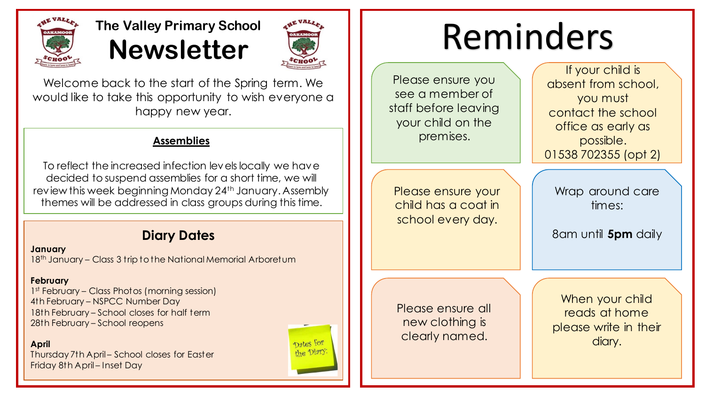

# **The Valley Primary School Newsletter**



Welcome back to the start of the Spring term. We would like to take this opportunity to wish everyone a happy new year.

### **Assemblies**

To reflect the increased infection levels locally we have decided to suspend assemblies for a short time, we will review this week beginning Monday 24<sup>th</sup> January. Assembly themes will be addressed in class groups during this time.

### **Diary Dates**

**January** 18<sup>th</sup> January – Class 3 trip to the National Memorial Arboretum

### **February**

1<sup>st</sup> February – Class Photos (morning session) 4th February – NSPCC Number Day 18th February – School closes for half term 28th February – School reopens

**April**

Thursday 7th April – School closes for Easter Friday 8th April – Inset Day



# Reminders

Please ensure you see a member of staff before leaving your child on the premises.

Please ensure your child has a coat in school every day.

If your child is absent from school, you must contact the school office as early as possible. 01538 702355 (opt 2)

Wrap around care times:

8am until **5pm** daily

Please ensure all new clothing is clearly named.

When your child reads at home please write in their diary.